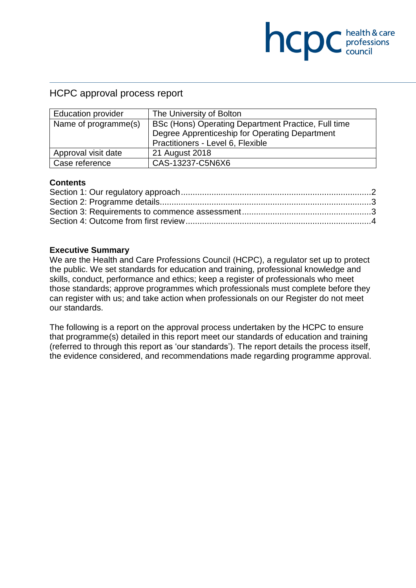### HCPC approval process report

| <b>Education provider</b> | The University of Bolton                            |  |
|---------------------------|-----------------------------------------------------|--|
| Name of programme(s)      | BSc (Hons) Operating Department Practice, Full time |  |
|                           | Degree Apprenticeship for Operating Department      |  |
|                           | Practitioners - Level 6, Flexible                   |  |
| Approval visit date       | 21 August 2018                                      |  |
| Case reference            | CAS-13237-C5N6X6                                    |  |

**COC** health & care

#### **Contents**

#### **Executive Summary**

We are the Health and Care Professions Council (HCPC), a regulator set up to protect the public. We set standards for education and training, professional knowledge and skills, conduct, performance and ethics; keep a register of professionals who meet those standards; approve programmes which professionals must complete before they can register with us; and take action when professionals on our Register do not meet our standards.

The following is a report on the approval process undertaken by the HCPC to ensure that programme(s) detailed in this report meet our standards of education and training (referred to through this report as 'our standards'). The report details the process itself, the evidence considered, and recommendations made regarding programme approval.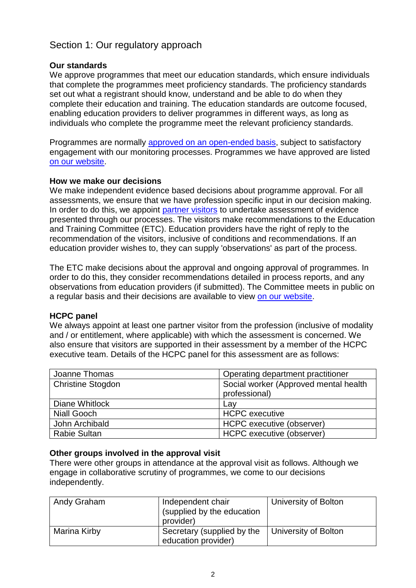# Section 1: Our regulatory approach

### **Our standards**

We approve programmes that meet our education standards, which ensure individuals that complete the programmes meet proficiency standards. The proficiency standards set out what a registrant should know, understand and be able to do when they complete their education and training. The education standards are outcome focused, enabling education providers to deliver programmes in different ways, as long as individuals who complete the programme meet the relevant proficiency standards.

Programmes are normally approved on an open-ended basis, subject to satisfactory engagement with our monitoring processes. Programmes we have approved are listed on our website.

#### **How we make our decisions**

We make independent evidence based decisions about programme approval. For all assessments, we ensure that we have profession specific input in our decision making. In order to do this, we appoint partner visitors to undertake assessment of evidence presented through our processes. The visitors make recommendations to the Education and Training Committee (ETC). Education providers have the right of reply to the recommendation of the visitors, inclusive of conditions and recommendations. If an education provider wishes to, they can supply 'observations' as part of the process.

The ETC make decisions about the approval and ongoing approval of programmes. In order to do this, they consider recommendations detailed in process reports, and any observations from education providers (if submitted). The Committee meets in public on a regular basis and their decisions are available to view on our website.

#### **HCPC panel**

We always appoint at least one partner visitor from the profession (inclusive of modality and / or entitlement, where applicable) with which the assessment is concerned. We also ensure that visitors are supported in their assessment by a member of the HCPC executive team. Details of the HCPC panel for this assessment are as follows:

| Joanne Thomas            | Operating department practitioner     |  |
|--------------------------|---------------------------------------|--|
| <b>Christine Stogdon</b> | Social worker (Approved mental health |  |
|                          | professional)                         |  |
| Diane Whitlock           | Lay                                   |  |
| <b>Niall Gooch</b>       | <b>HCPC</b> executive                 |  |
| John Archibald           | HCPC executive (observer)             |  |
| <b>Rabie Sultan</b>      | HCPC executive (observer)             |  |

#### **Other groups involved in the approval visit**

There were other groups in attendance at the approval visit as follows. Although we engage in collaborative scrutiny of programmes, we come to our decisions independently.

| Andy Graham  | Independent chair<br>(supplied by the education<br>provider) | University of Bolton |
|--------------|--------------------------------------------------------------|----------------------|
| Marina Kirby | Secretary (supplied by the<br>education provider)            | University of Bolton |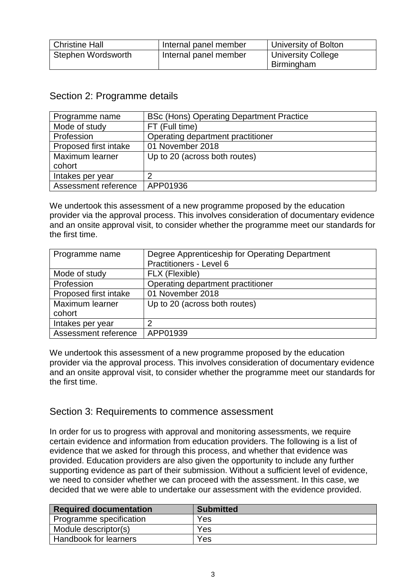| <b>Christine Hall</b> | Internal panel member | University of Bolton                    |
|-----------------------|-----------------------|-----------------------------------------|
| Stephen Wordsworth    | Internal panel member | <b>University College</b><br>Birmingham |

| Programme name        | <b>BSc (Hons) Operating Department Practice</b> |
|-----------------------|-------------------------------------------------|
| Mode of study         | FT (Full time)                                  |
| Profession            | Operating department practitioner               |
| Proposed first intake | 01 November 2018                                |
| Maximum learner       | Up to 20 (across both routes)                   |
| cohort                |                                                 |
| Intakes per year      | ົ                                               |
| Assessment reference  | APP01936                                        |

### Section 2: Programme details

We undertook this assessment of a new programme proposed by the education provider via the approval process. This involves consideration of documentary evidence and an onsite approval visit, to consider whether the programme meet our standards for the first time.

| Programme name        | Degree Apprenticeship for Operating Department |  |
|-----------------------|------------------------------------------------|--|
|                       | Practitioners - Level 6                        |  |
| Mode of study         | FLX (Flexible)                                 |  |
| Profession            | Operating department practitioner              |  |
| Proposed first intake | 01 November 2018                               |  |
| Maximum learner       | Up to 20 (across both routes)                  |  |
| cohort                |                                                |  |
| Intakes per year      | າ                                              |  |
| Assessment reference  | APP01939                                       |  |

We undertook this assessment of a new programme proposed by the education provider via the approval process. This involves consideration of documentary evidence and an onsite approval visit, to consider whether the programme meet our standards for the first time.

### Section 3: Requirements to commence assessment

In order for us to progress with approval and monitoring assessments, we require certain evidence and information from education providers. The following is a list of evidence that we asked for through this process, and whether that evidence was provided. Education providers are also given the opportunity to include any further supporting evidence as part of their submission. Without a sufficient level of evidence, we need to consider whether we can proceed with the assessment. In this case, we decided that we were able to undertake our assessment with the evidence provided.

| <b>Required documentation</b> | <b>Submitted</b> |
|-------------------------------|------------------|
| Programme specification       | Yes              |
| Module descriptor(s)          | Yes              |
| Handbook for learners         | Yes              |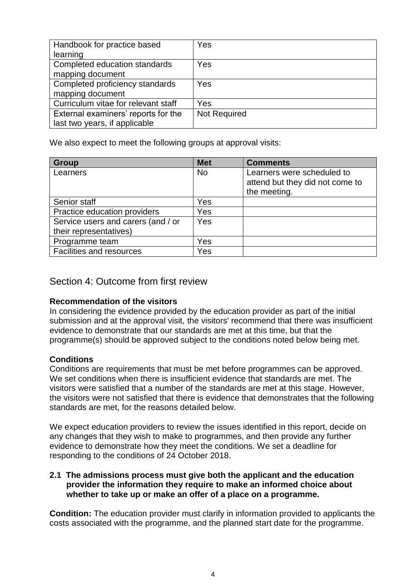| Handbook for practice based         | Yes                 |
|-------------------------------------|---------------------|
| learning                            |                     |
| Completed education standards       | Yes                 |
| mapping document                    |                     |
| Completed proficiency standards     | Yes                 |
| mapping document                    |                     |
| Curriculum vitae for relevant staff | Yes                 |
| External examiners' reports for the | <b>Not Required</b> |
| last two years, if applicable       |                     |

We also expect to meet the following groups at approval visits:

| <b>Group</b>                       | <b>Met</b> | <b>Comments</b>                                                               |
|------------------------------------|------------|-------------------------------------------------------------------------------|
| Learners                           | <b>No</b>  | Learners were scheduled to<br>attend but they did not come to<br>the meeting. |
| Senior staff                       | Yes        |                                                                               |
| Practice education providers       | Yes        |                                                                               |
| Service users and carers (and / or | Yes        |                                                                               |
| their representatives)             |            |                                                                               |
| Programme team                     | Yes        |                                                                               |
| <b>Facilities and resources</b>    | Yes        |                                                                               |

## Section 4: Outcome from first review

### **Recommendation of the visitors**

In considering the evidence provided by the education provider as part of the initial submission and at the approval visit, the visitors' recommend that there was insufficient evidence to demonstrate that our standards are met at this time, but that the programme(s) should be approved subject to the conditions noted below being met.

### **Conditions**

Conditions are requirements that must be met before programmes can be approved. We set conditions when there is insufficient evidence that standards are met. The visitors were satisfied that a number of the standards are met at this stage. However, the visitors were not satisfied that there is evidence that demonstrates that the following standards are met, for the reasons detailed below.

We expect education providers to review the issues identified in this report, decide on any changes that they wish to make to programmes, and then provide any further evidence to demonstrate how they meet the conditions. We set a deadline for responding to the conditions of 24 October 2018.

#### **2.1 The admissions process must give both the applicant and the education provider the information they require to make an informed choice about whether to take up or make an offer of a place on a programme.**

**Condition:** The education provider must clarify in information provided to applicants the costs associated with the programme, and the planned start date for the programme.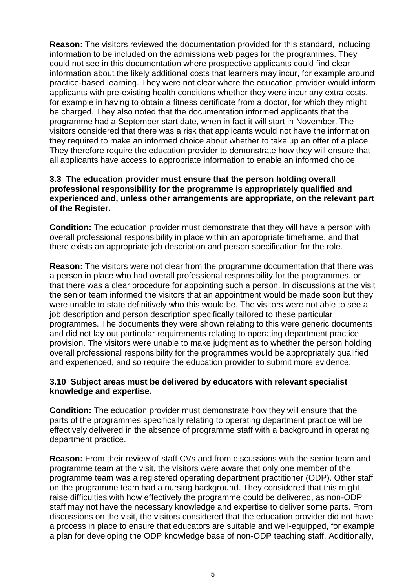**Reason:** The visitors reviewed the documentation provided for this standard, including information to be included on the admissions web pages for the programmes. They could not see in this documentation where prospective applicants could find clear information about the likely additional costs that learners may incur, for example around practice-based learning. They were not clear where the education provider would inform applicants with pre-existing health conditions whether they were incur any extra costs, for example in having to obtain a fitness certificate from a doctor, for which they might be charged. They also noted that the documentation informed applicants that the programme had a September start date, when in fact it will start in November. The visitors considered that there was a risk that applicants would not have the information they required to make an informed choice about whether to take up an offer of a place. They therefore require the education provider to demonstrate how they will ensure that all applicants have access to appropriate information to enable an informed choice.

#### **3.3 The education provider must ensure that the person holding overall professional responsibility for the programme is appropriately qualified and experienced and, unless other arrangements are appropriate, on the relevant part of the Register.**

**Condition:** The education provider must demonstrate that they will have a person with overall professional responsibility in place within an appropriate timeframe, and that there exists an appropriate job description and person specification for the role.

**Reason:** The visitors were not clear from the programme documentation that there was a person in place who had overall professional responsibility for the programmes, or that there was a clear procedure for appointing such a person. In discussions at the visit the senior team informed the visitors that an appointment would be made soon but they were unable to state definitively who this would be. The visitors were not able to see a job description and person description specifically tailored to these particular programmes. The documents they were shown relating to this were generic documents and did not lay out particular requirements relating to operating department practice provision. The visitors were unable to make judgment as to whether the person holding overall professional responsibility for the programmes would be appropriately qualified and experienced, and so require the education provider to submit more evidence.

#### **3.10 Subject areas must be delivered by educators with relevant specialist knowledge and expertise.**

**Condition:** The education provider must demonstrate how they will ensure that the parts of the programmes specifically relating to operating department practice will be effectively delivered in the absence of programme staff with a background in operating department practice.

**Reason:** From their review of staff CVs and from discussions with the senior team and programme team at the visit, the visitors were aware that only one member of the programme team was a registered operating department practitioner (ODP). Other staff on the programme team had a nursing background. They considered that this might raise difficulties with how effectively the programme could be delivered, as non-ODP staff may not have the necessary knowledge and expertise to deliver some parts. From discussions on the visit, the visitors considered that the education provider did not have a process in place to ensure that educators are suitable and well-equipped, for example a plan for developing the ODP knowledge base of non-ODP teaching staff. Additionally,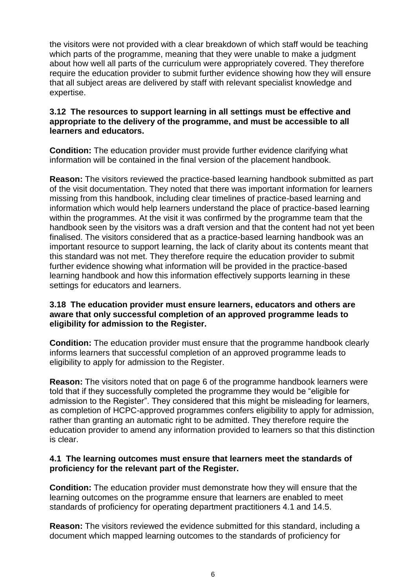the visitors were not provided with a clear breakdown of which staff would be teaching which parts of the programme, meaning that they were unable to make a judgment about how well all parts of the curriculum were appropriately covered. They therefore require the education provider to submit further evidence showing how they will ensure that all subject areas are delivered by staff with relevant specialist knowledge and expertise.

#### **3.12 The resources to support learning in all settings must be effective and appropriate to the delivery of the programme, and must be accessible to all learners and educators.**

**Condition:** The education provider must provide further evidence clarifying what information will be contained in the final version of the placement handbook.

**Reason:** The visitors reviewed the practice-based learning handbook submitted as part of the visit documentation. They noted that there was important information for learners missing from this handbook, including clear timelines of practice-based learning and information which would help learners understand the place of practice-based learning within the programmes. At the visit it was confirmed by the programme team that the handbook seen by the visitors was a draft version and that the content had not yet been finalised. The visitors considered that as a practice-based learning handbook was an important resource to support learning, the lack of clarity about its contents meant that this standard was not met. They therefore require the education provider to submit further evidence showing what information will be provided in the practice-based learning handbook and how this information effectively supports learning in these settings for educators and learners.

#### **3.18 The education provider must ensure learners, educators and others are aware that only successful completion of an approved programme leads to eligibility for admission to the Register.**

**Condition:** The education provider must ensure that the programme handbook clearly informs learners that successful completion of an approved programme leads to eligibility to apply for admission to the Register.

**Reason:** The visitors noted that on page 6 of the programme handbook learners were told that if they successfully completed the programme they would be "eligible for admission to the Register". They considered that this might be misleading for learners, as completion of HCPC-approved programmes confers eligibility to apply for admission, rather than granting an automatic right to be admitted. They therefore require the education provider to amend any information provided to learners so that this distinction is clear.

#### **4.1 The learning outcomes must ensure that learners meet the standards of proficiency for the relevant part of the Register.**

**Condition:** The education provider must demonstrate how they will ensure that the learning outcomes on the programme ensure that learners are enabled to meet standards of proficiency for operating department practitioners 4.1 and 14.5.

**Reason:** The visitors reviewed the evidence submitted for this standard, including a document which mapped learning outcomes to the standards of proficiency for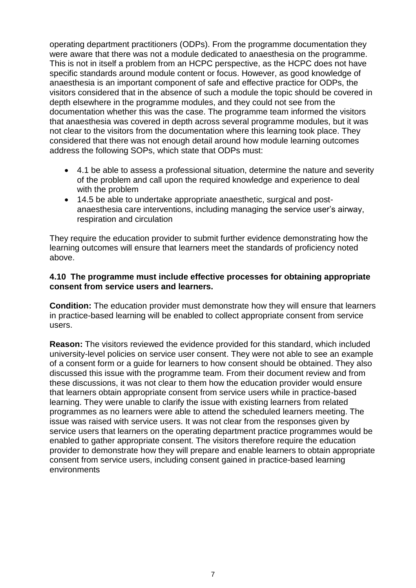operating department practitioners (ODPs). From the programme documentation they were aware that there was not a module dedicated to anaesthesia on the programme. This is not in itself a problem from an HCPC perspective, as the HCPC does not have specific standards around module content or focus. However, as good knowledge of anaesthesia is an important component of safe and effective practice for ODPs, the visitors considered that in the absence of such a module the topic should be covered in depth elsewhere in the programme modules, and they could not see from the documentation whether this was the case. The programme team informed the visitors that anaesthesia was covered in depth across several programme modules, but it was not clear to the visitors from the documentation where this learning took place. They considered that there was not enough detail around how module learning outcomes address the following SOPs, which state that ODPs must:

- 4.1 be able to assess a professional situation, determine the nature and severity of the problem and call upon the required knowledge and experience to deal with the problem
- 14.5 be able to undertake appropriate anaesthetic, surgical and postanaesthesia care interventions, including managing the service user's airway, respiration and circulation

They require the education provider to submit further evidence demonstrating how the learning outcomes will ensure that learners meet the standards of proficiency noted above.

### **4.10 The programme must include effective processes for obtaining appropriate consent from service users and learners.**

**Condition:** The education provider must demonstrate how they will ensure that learners in practice-based learning will be enabled to collect appropriate consent from service users.

**Reason:** The visitors reviewed the evidence provided for this standard, which included university-level policies on service user consent. They were not able to see an example of a consent form or a guide for learners to how consent should be obtained. They also discussed this issue with the programme team. From their document review and from these discussions, it was not clear to them how the education provider would ensure that learners obtain appropriate consent from service users while in practice-based learning. They were unable to clarify the issue with existing learners from related programmes as no learners were able to attend the scheduled learners meeting. The issue was raised with service users. It was not clear from the responses given by service users that learners on the operating department practice programmes would be enabled to gather appropriate consent. The visitors therefore require the education provider to demonstrate how they will prepare and enable learners to obtain appropriate consent from service users, including consent gained in practice-based learning environments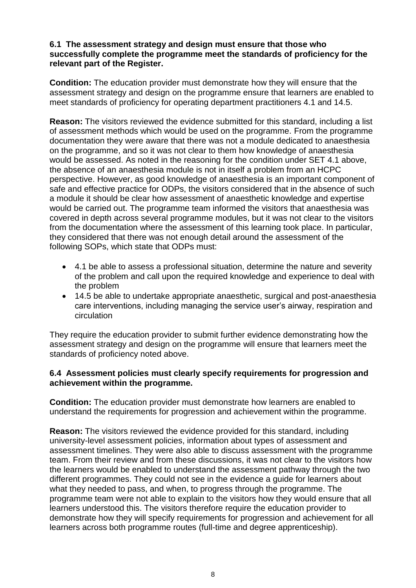#### **6.1 The assessment strategy and design must ensure that those who successfully complete the programme meet the standards of proficiency for the relevant part of the Register.**

**Condition:** The education provider must demonstrate how they will ensure that the assessment strategy and design on the programme ensure that learners are enabled to meet standards of proficiency for operating department practitioners 4.1 and 14.5.

**Reason:** The visitors reviewed the evidence submitted for this standard, including a list of assessment methods which would be used on the programme. From the programme documentation they were aware that there was not a module dedicated to anaesthesia on the programme, and so it was not clear to them how knowledge of anaesthesia would be assessed. As noted in the reasoning for the condition under SET 4.1 above, the absence of an anaesthesia module is not in itself a problem from an HCPC perspective. However, as good knowledge of anaesthesia is an important component of safe and effective practice for ODPs, the visitors considered that in the absence of such a module it should be clear how assessment of anaesthetic knowledge and expertise would be carried out. The programme team informed the visitors that anaesthesia was covered in depth across several programme modules, but it was not clear to the visitors from the documentation where the assessment of this learning took place. In particular, they considered that there was not enough detail around the assessment of the following SOPs, which state that ODPs must:

- 4.1 be able to assess a professional situation, determine the nature and severity of the problem and call upon the required knowledge and experience to deal with the problem
- 14.5 be able to undertake appropriate anaesthetic, surgical and post-anaesthesia care interventions, including managing the service user's airway, respiration and circulation

They require the education provider to submit further evidence demonstrating how the assessment strategy and design on the programme will ensure that learners meet the standards of proficiency noted above.

### **6.4 Assessment policies must clearly specify requirements for progression and achievement within the programme.**

**Condition:** The education provider must demonstrate how learners are enabled to understand the requirements for progression and achievement within the programme.

**Reason:** The visitors reviewed the evidence provided for this standard, including university-level assessment policies, information about types of assessment and assessment timelines. They were also able to discuss assessment with the programme team. From their review and from these discussions, it was not clear to the visitors how the learners would be enabled to understand the assessment pathway through the two different programmes. They could not see in the evidence a guide for learners about what they needed to pass, and when, to progress through the programme. The programme team were not able to explain to the visitors how they would ensure that all learners understood this. The visitors therefore require the education provider to demonstrate how they will specify requirements for progression and achievement for all learners across both programme routes (full-time and degree apprenticeship).